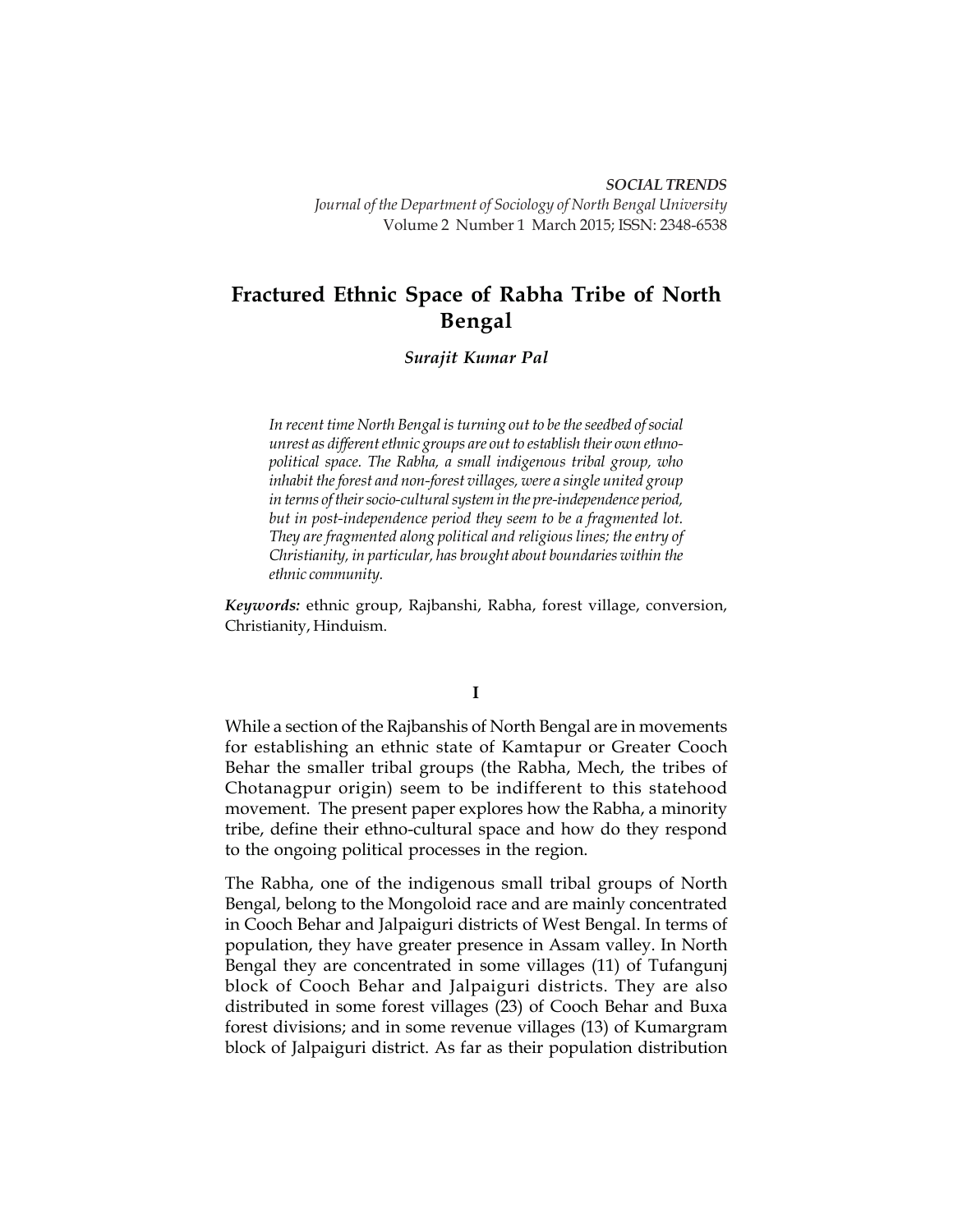**168** *SOCIAL TRENDS Journal of the Department of Sociology of North Bengal University* Volume 2 Number 1 March 2015; ISSN: 2348-6538

# **Fractured Ethnic Space of Rabha Tribe of North Bengal**

## *Surajit Kumar Pal*

*In recent time North Bengal is turning out to be the seedbed of social unrest as different ethnic groups are out to establish their own ethnopolitical space. The Rabha, a small indigenous tribal group, who inhabit the forest and non-forest villages, were a single united group in terms of their socio-cultural system in the pre-independence period, but in post-independence period they seem to be a fragmented lot. They are fragmented along political and religious lines; the entry of Christianity, in particular, has brought about boundaries within the ethnic community.*

*Keywords:* ethnic group, Rajbanshi, Rabha, forest village, conversion, Christianity, Hinduism.

## **I**

While a section of the Rajbanshis of North Bengal are in movements for establishing an ethnic state of Kamtapur or Greater Cooch Behar the smaller tribal groups (the Rabha, Mech, the tribes of Chotanagpur origin) seem to be indifferent to this statehood movement. The present paper explores how the Rabha, a minority tribe, define their ethno-cultural space and how do they respond to the ongoing political processes in the region.

The Rabha, one of the indigenous small tribal groups of North Bengal, belong to the Mongoloid race and are mainly concentrated in Cooch Behar and Jalpaiguri districts of West Bengal. In terms of population, they have greater presence in Assam valley. In North Bengal they are concentrated in some villages (11) of Tufangunj block of Cooch Behar and Jalpaiguri districts. They are also distributed in some forest villages (23) of Cooch Behar and Buxa forest divisions; and in some revenue villages (13) of Kumargram block of Jalpaiguri district. As far as their population distribution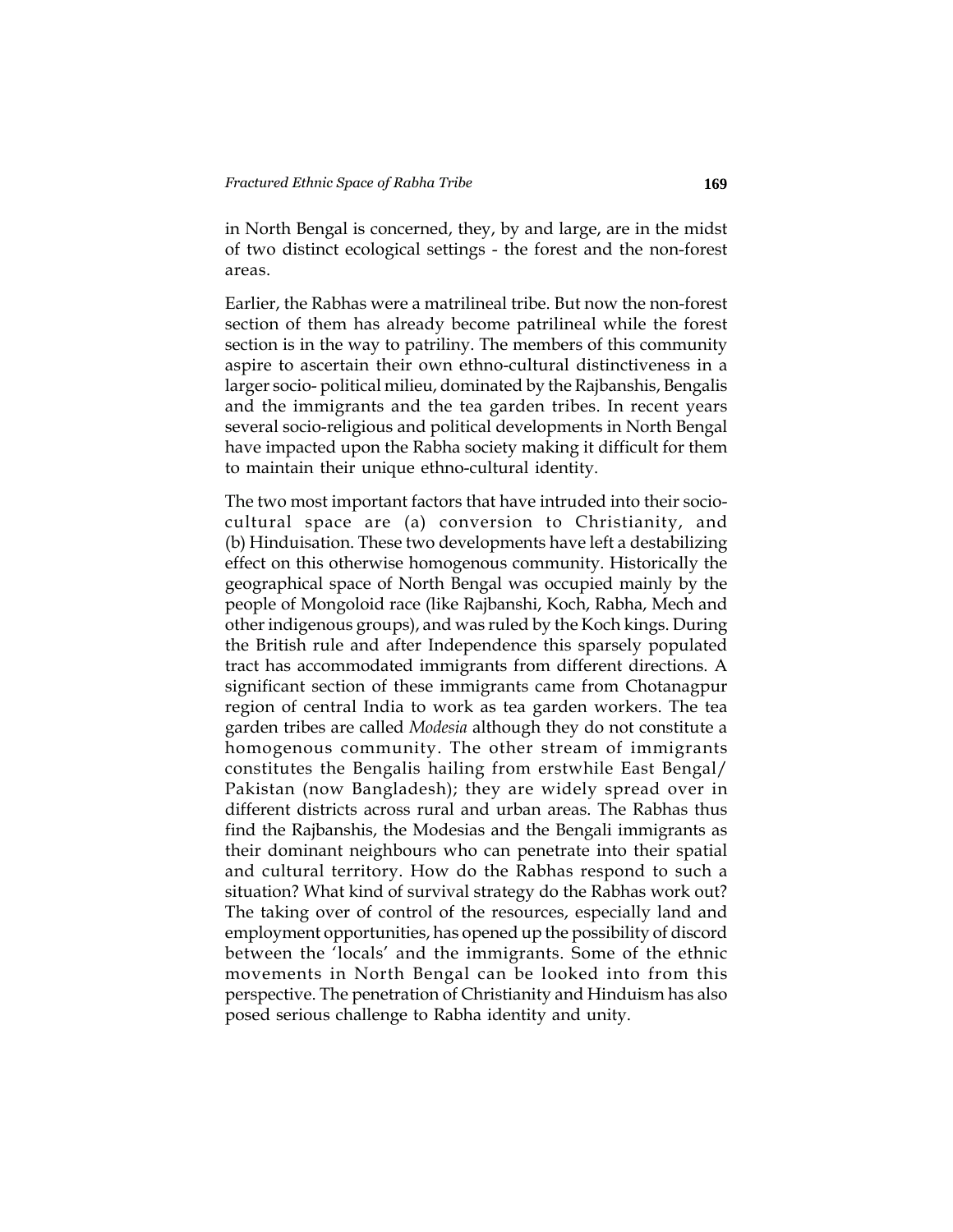in North Bengal is concerned, they, by and large, are in the midst of two distinct ecological settings - the forest and the non-forest areas.

Earlier, the Rabhas were a matrilineal tribe. But now the non-forest section of them has already become patrilineal while the forest section is in the way to patriliny. The members of this community aspire to ascertain their own ethno-cultural distinctiveness in a larger socio- political milieu, dominated by the Rajbanshis, Bengalis and the immigrants and the tea garden tribes. In recent years several socio-religious and political developments in North Bengal have impacted upon the Rabha society making it difficult for them to maintain their unique ethno-cultural identity.

The two most important factors that have intruded into their sociocultural space are (a) conversion to Christianity, and (b) Hinduisation. These two developments have left a destabilizing effect on this otherwise homogenous community. Historically the geographical space of North Bengal was occupied mainly by the people of Mongoloid race (like Rajbanshi, Koch, Rabha, Mech and other indigenous groups), and was ruled by the Koch kings. During the British rule and after Independence this sparsely populated tract has accommodated immigrants from different directions. A significant section of these immigrants came from Chotanagpur region of central India to work as tea garden workers. The tea garden tribes are called *Modesia* although they do not constitute a homogenous community. The other stream of immigrants constitutes the Bengalis hailing from erstwhile East Bengal/ Pakistan (now Bangladesh); they are widely spread over in different districts across rural and urban areas. The Rabhas thus find the Rajbanshis, the Modesias and the Bengali immigrants as their dominant neighbours who can penetrate into their spatial and cultural territory. How do the Rabhas respond to such a situation? What kind of survival strategy do the Rabhas work out? The taking over of control of the resources, especially land and employment opportunities, has opened up the possibility of discord between the 'locals' and the immigrants. Some of the ethnic movements in North Bengal can be looked into from this perspective. The penetration of Christianity and Hinduism has also posed serious challenge to Rabha identity and unity.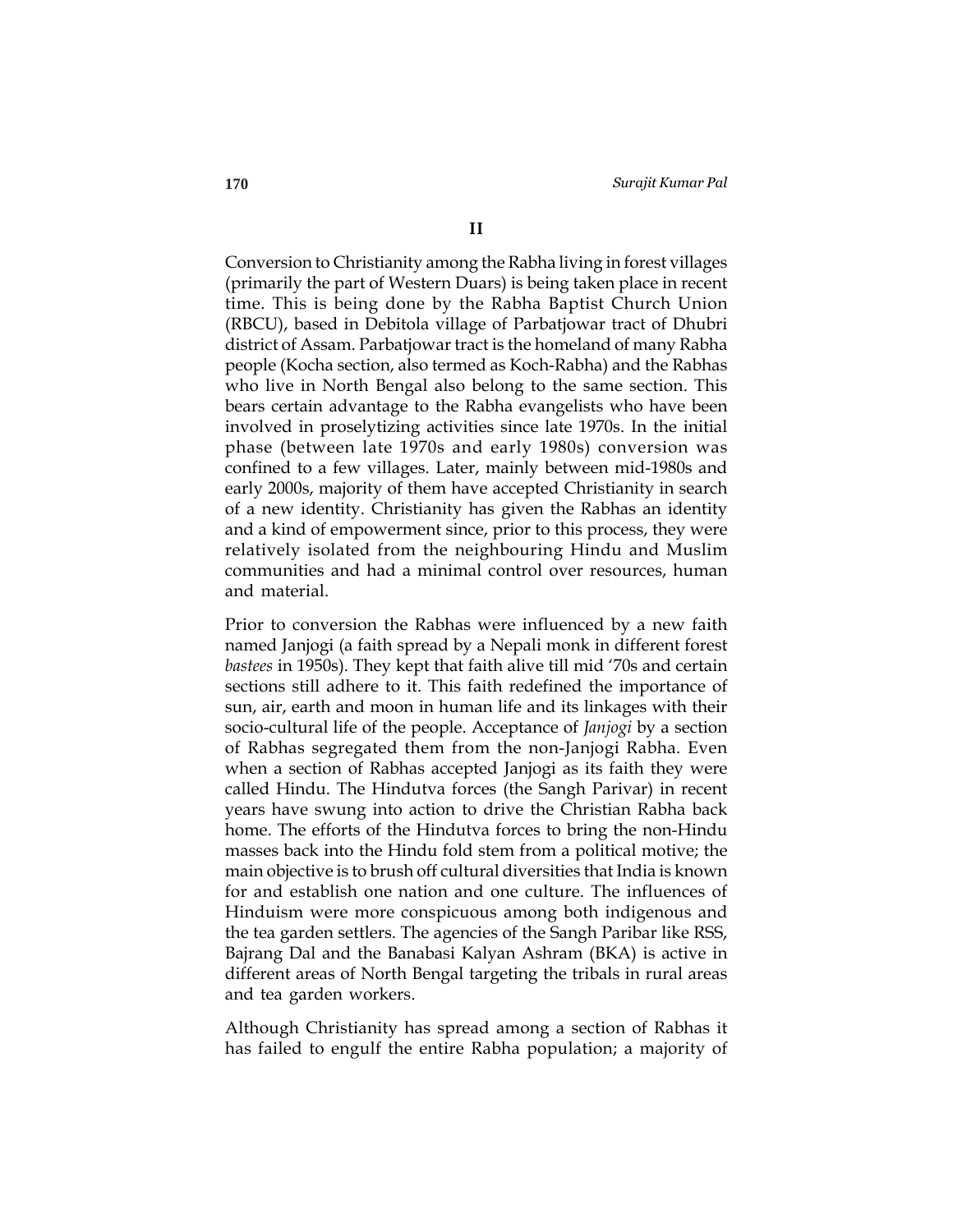Conversion to Christianity among the Rabha living in forest villages (primarily the part of Western Duars) is being taken place in recent time. This is being done by the Rabha Baptist Church Union (RBCU), based in Debitola village of Parbatjowar tract of Dhubri district of Assam. Parbatjowar tract is the homeland of many Rabha people (Kocha section, also termed as Koch-Rabha) and the Rabhas who live in North Bengal also belong to the same section. This bears certain advantage to the Rabha evangelists who have been involved in proselytizing activities since late 1970s. In the initial phase (between late 1970s and early 1980s) conversion was confined to a few villages. Later, mainly between mid-1980s and early 2000s, majority of them have accepted Christianity in search of a new identity. Christianity has given the Rabhas an identity and a kind of empowerment since, prior to this process, they were relatively isolated from the neighbouring Hindu and Muslim communities and had a minimal control over resources, human and material.

Prior to conversion the Rabhas were influenced by a new faith named Janjogi (a faith spread by a Nepali monk in different forest *bastees* in 1950s). They kept that faith alive till mid '70s and certain sections still adhere to it. This faith redefined the importance of sun, air, earth and moon in human life and its linkages with their socio-cultural life of the people. Acceptance of *Janjogi* by a section of Rabhas segregated them from the non-Janjogi Rabha. Even when a section of Rabhas accepted Janjogi as its faith they were called Hindu. The Hindutva forces (the Sangh Parivar) in recent years have swung into action to drive the Christian Rabha back home. The efforts of the Hindutva forces to bring the non-Hindu masses back into the Hindu fold stem from a political motive; the main objective is to brush off cultural diversities that India is known for and establish one nation and one culture. The influences of Hinduism were more conspicuous among both indigenous and the tea garden settlers. The agencies of the Sangh Paribar like RSS, Bajrang Dal and the Banabasi Kalyan Ashram (BKA) is active in different areas of North Bengal targeting the tribals in rural areas and tea garden workers.

Although Christianity has spread among a section of Rabhas it has failed to engulf the entire Rabha population; a majority of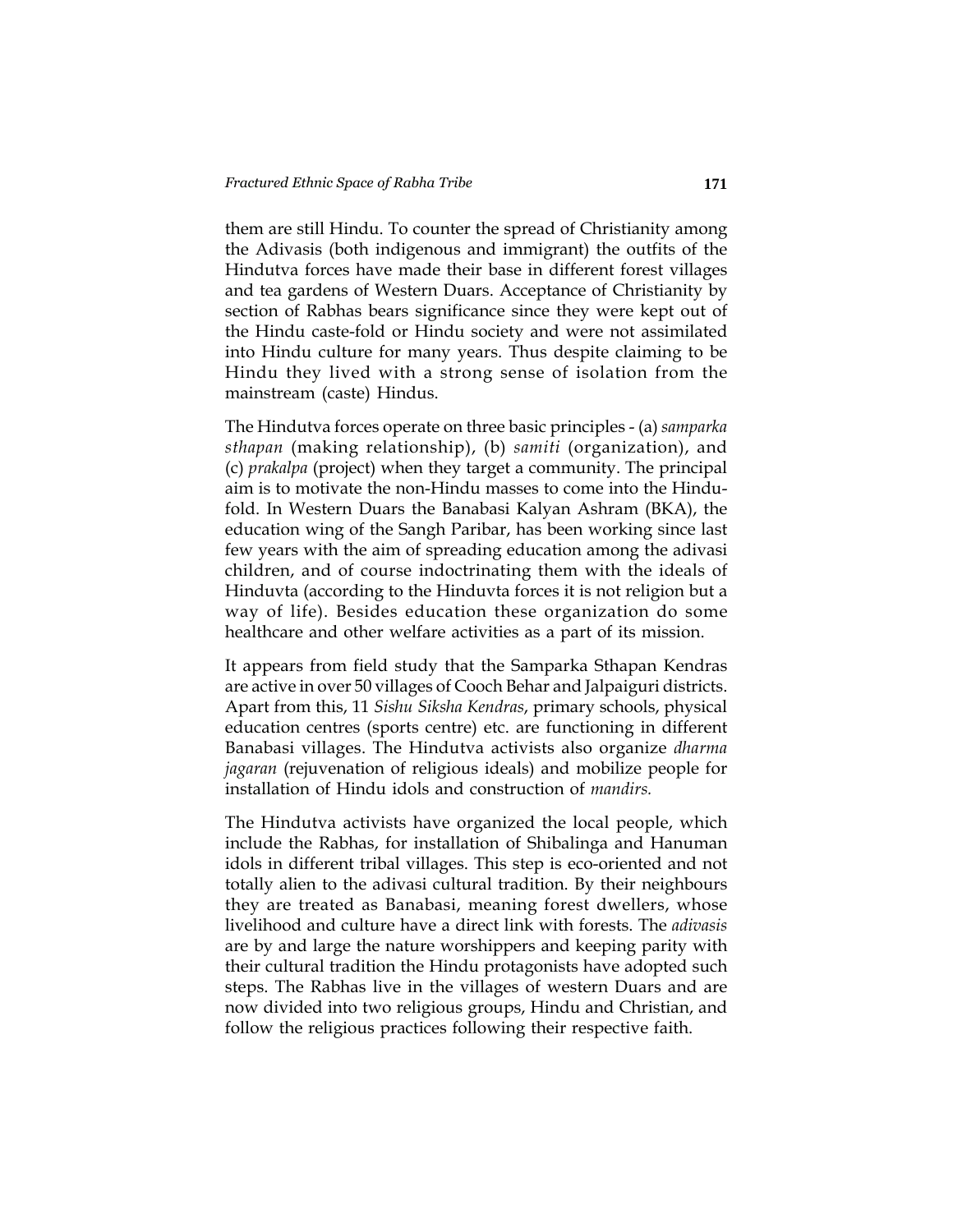them are still Hindu. To counter the spread of Christianity among the Adivasis (both indigenous and immigrant) the outfits of the Hindutva forces have made their base in different forest villages and tea gardens of Western Duars. Acceptance of Christianity by section of Rabhas bears significance since they were kept out of the Hindu caste-fold or Hindu society and were not assimilated into Hindu culture for many years. Thus despite claiming to be Hindu they lived with a strong sense of isolation from the mainstream (caste) Hindus.

The Hindutva forces operate on three basic principles - (a) *samparka sthapan* (making relationship), (b) *samiti* (organization), and (c) *prakalpa* (project) when they target a community. The principal aim is to motivate the non-Hindu masses to come into the Hindufold. In Western Duars the Banabasi Kalyan Ashram (BKA), the education wing of the Sangh Paribar, has been working since last few years with the aim of spreading education among the adivasi children, and of course indoctrinating them with the ideals of Hinduvta (according to the Hinduvta forces it is not religion but a way of life). Besides education these organization do some healthcare and other welfare activities as a part of its mission.

It appears from field study that the Samparka Sthapan Kendras are active in over 50 villages of Cooch Behar and Jalpaiguri districts. Apart from this, 11 *Sishu Siksha Kendras*, primary schools, physical education centres (sports centre) etc. are functioning in different Banabasi villages. The Hindutva activists also organize *dharma jagaran* (rejuvenation of religious ideals) and mobilize people for installation of Hindu idols and construction of *mandirs.*

The Hindutva activists have organized the local people, which include the Rabhas, for installation of Shibalinga and Hanuman idols in different tribal villages. This step is eco-oriented and not totally alien to the adivasi cultural tradition. By their neighbours they are treated as Banabasi, meaning forest dwellers, whose livelihood and culture have a direct link with forests. The *adivasis* are by and large the nature worshippers and keeping parity with their cultural tradition the Hindu protagonists have adopted such steps. The Rabhas live in the villages of western Duars and are now divided into two religious groups, Hindu and Christian, and follow the religious practices following their respective faith.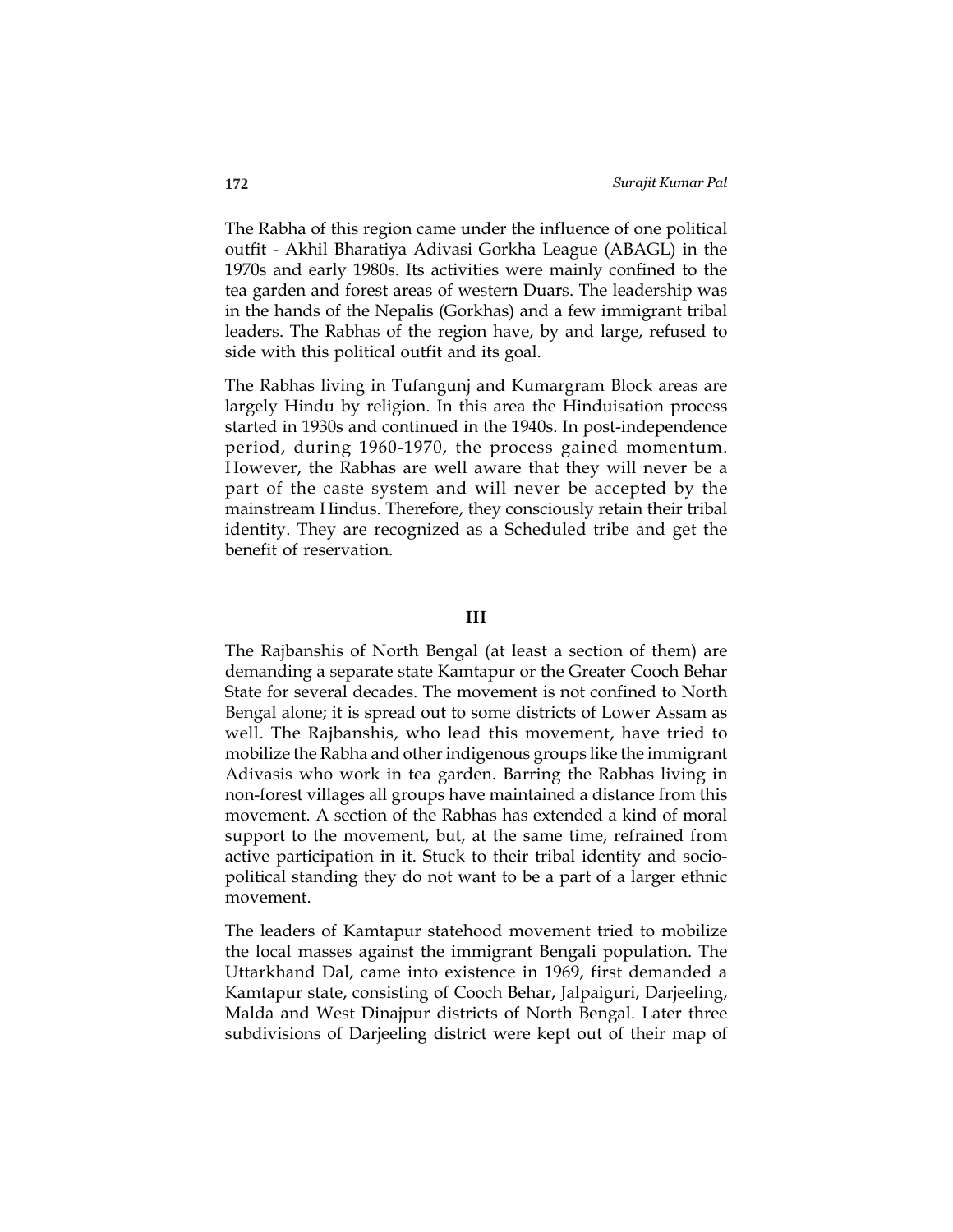The Rabha of this region came under the influence of one political outfit - Akhil Bharatiya Adivasi Gorkha League (ABAGL) in the 1970s and early 1980s. Its activities were mainly confined to the tea garden and forest areas of western Duars. The leadership was in the hands of the Nepalis (Gorkhas) and a few immigrant tribal leaders. The Rabhas of the region have, by and large, refused to side with this political outfit and its goal.

The Rabhas living in Tufangunj and Kumargram Block areas are largely Hindu by religion. In this area the Hinduisation process started in 1930s and continued in the 1940s. In post-independence period, during 1960-1970, the process gained momentum. However, the Rabhas are well aware that they will never be a part of the caste system and will never be accepted by the mainstream Hindus. Therefore, they consciously retain their tribal identity. They are recognized as a Scheduled tribe and get the benefit of reservation.

#### **III**

The Rajbanshis of North Bengal (at least a section of them) are demanding a separate state Kamtapur or the Greater Cooch Behar State for several decades. The movement is not confined to North Bengal alone; it is spread out to some districts of Lower Assam as well. The Rajbanshis, who lead this movement, have tried to mobilize the Rabha and other indigenous groups like the immigrant Adivasis who work in tea garden. Barring the Rabhas living in non-forest villages all groups have maintained a distance from this movement. A section of the Rabhas has extended a kind of moral support to the movement, but, at the same time, refrained from active participation in it. Stuck to their tribal identity and sociopolitical standing they do not want to be a part of a larger ethnic movement.

The leaders of Kamtapur statehood movement tried to mobilize the local masses against the immigrant Bengali population. The Uttarkhand Dal, came into existence in 1969, first demanded a Kamtapur state, consisting of Cooch Behar, Jalpaiguri, Darjeeling, Malda and West Dinajpur districts of North Bengal. Later three subdivisions of Darjeeling district were kept out of their map of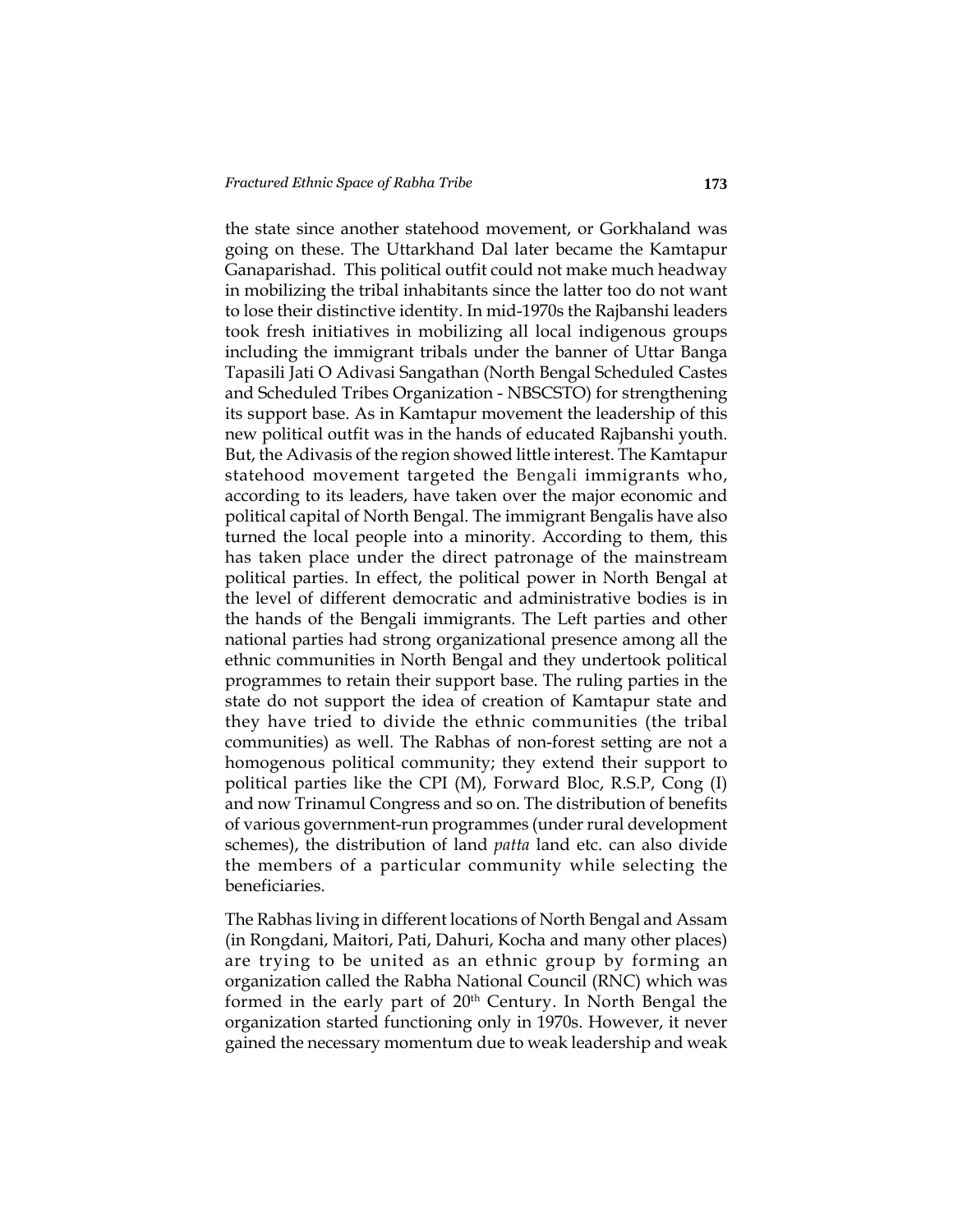the state since another statehood movement, or Gorkhaland was going on these. The Uttarkhand Dal later became the Kamtapur Ganaparishad. This political outfit could not make much headway in mobilizing the tribal inhabitants since the latter too do not want to lose their distinctive identity. In mid-1970s the Rajbanshi leaders took fresh initiatives in mobilizing all local indigenous groups including the immigrant tribals under the banner of Uttar Banga Tapasili Jati O Adivasi Sangathan (North Bengal Scheduled Castes and Scheduled Tribes Organization - NBSCSTO) for strengthening its support base. As in Kamtapur movement the leadership of this new political outfit was in the hands of educated Rajbanshi youth. But, the Adivasis of the region showed little interest. The Kamtapur statehood movement targeted the Bengali immigrants who, according to its leaders, have taken over the major economic and political capital of North Bengal. The immigrant Bengalis have also turned the local people into a minority. According to them, this has taken place under the direct patronage of the mainstream political parties. In effect, the political power in North Bengal at the level of different democratic and administrative bodies is in the hands of the Bengali immigrants. The Left parties and other national parties had strong organizational presence among all the ethnic communities in North Bengal and they undertook political programmes to retain their support base. The ruling parties in the state do not support the idea of creation of Kamtapur state and they have tried to divide the ethnic communities (the tribal communities) as well. The Rabhas of non-forest setting are not a homogenous political community; they extend their support to political parties like the CPI (M), Forward Bloc, R.S.P, Cong (I) and now Trinamul Congress and so on. The distribution of benefits of various government-run programmes (under rural development schemes), the distribution of land *patta* land etc. can also divide the members of a particular community while selecting the beneficiaries.

The Rabhas living in different locations of North Bengal and Assam (in Rongdani, Maitori, Pati, Dahuri, Kocha and many other places) are trying to be united as an ethnic group by forming an organization called the Rabha National Council (RNC) which was formed in the early part of 20<sup>th</sup> Century. In North Bengal the organization started functioning only in 1970s. However, it never gained the necessary momentum due to weak leadership and weak